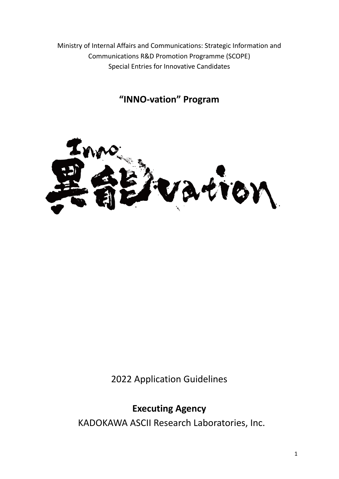Ministry of Internal Affairs and Communications: Strategic Information and Communications R&D Promotion Programme (SCOPE) Special Entries for Innovative Candidates

# **"INNO-vation" Program**



2022 Application Guidelines

**Executing Agency**

KADOKAWA ASCII Research Laboratories, Inc.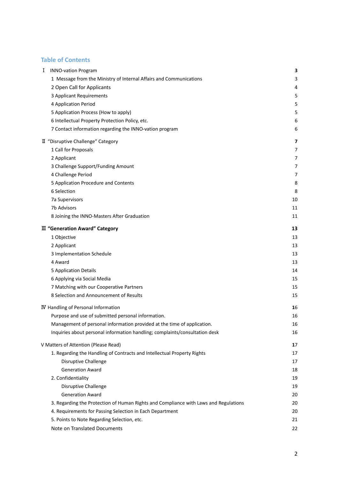# **Table of Contents**

| I | <b>INNO-vation Program</b>                                                           | 3  |
|---|--------------------------------------------------------------------------------------|----|
|   | 1 Message from the Ministry of Internal Affairs and Communications                   | 3  |
|   | 2 Open Call for Applicants                                                           | 4  |
|   | 3 Applicant Requirements                                                             | 5  |
|   | 4 Application Period                                                                 | 5  |
|   | 5 Application Process (How to apply)                                                 | 5  |
|   | 6 Intellectual Property Protection Policy, etc.                                      | 6  |
|   | 7 Contact information regarding the INNO-vation program                              | 6  |
|   | II "Disruptive Challenge" Category                                                   | 7  |
|   | 1 Call for Proposals                                                                 | 7  |
|   | 2 Applicant                                                                          | 7  |
|   | 3 Challenge Support/Funding Amount                                                   | 7  |
|   | 4 Challenge Period                                                                   | 7  |
|   | 5 Application Procedure and Contents                                                 | 8  |
|   | 6 Selection                                                                          | 8  |
|   | 7a Supervisors                                                                       | 10 |
|   | 7b Advisors                                                                          | 11 |
|   | 8 Joining the INNO-Masters After Graduation                                          | 11 |
|   | <b>III</b> "Generation Award" Category                                               | 13 |
|   | 1 Objective                                                                          | 13 |
|   | 2 Applicant                                                                          | 13 |
|   | 3 Implementation Schedule                                                            | 13 |
|   | 4 Award                                                                              | 13 |
|   | 5 Application Details                                                                | 14 |
|   | 6 Applying via Social Media                                                          | 15 |
|   | 7 Matching with our Cooperative Partners                                             | 15 |
|   | 8 Selection and Announcement of Results                                              | 15 |
|   | IV Handling of Personal Information                                                  | 16 |
|   | Purpose and use of submitted personal information.                                   | 16 |
|   | Management of personal information provided at the time of application.              | 16 |
|   | Inquiries about personal information handling; complaints/consultation desk          | 16 |
|   | V Matters of Attention (Please Read)                                                 | 17 |
|   | 1. Regarding the Handling of Contracts and Intellectual Property Rights              | 17 |
|   | Disruptive Challenge                                                                 | 17 |
|   | <b>Generation Award</b>                                                              | 18 |
|   | 2. Confidentiality                                                                   | 19 |
|   | Disruptive Challenge                                                                 | 19 |
|   | <b>Generation Award</b>                                                              | 20 |
|   | 3. Regarding the Protection of Human Rights and Compliance with Laws and Regulations | 20 |
|   | 4. Requirements for Passing Selection in Each Department                             | 20 |
|   | 5. Points to Note Regarding Selection, etc.                                          | 21 |
|   | Note on Translated Documents                                                         | 22 |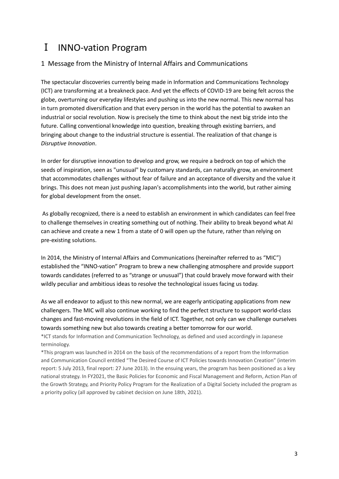# <span id="page-2-0"></span>Ⅰ INNO-vation Program

# <span id="page-2-1"></span>1 Message from the Ministry of Internal Affairs and Communications

The spectacular discoveries currently being made in Information and Communications Technology (ICT) are transforming at a breakneck pace. And yet the effects of COVID-19 are being felt across the globe, overturning our everyday lifestyles and pushing us into the new normal. This new normal has in turn promoted diversification and that every person in the world has the potential to awaken an industrial or social revolution. Now is precisely the time to think about the next big stride into the future. Calling conventional knowledge into question, breaking through existing barriers, and bringing about change to the industrial structure is essential. The realization of that change is *Disruptive Innovation*.

In order for disruptive innovation to develop and grow, we require a bedrock on top of which the seeds of inspiration, seen as "unusual" by customary standards, can naturally grow, an environment that accommodates challenges without fear of failure and an acceptance of diversity and the value it brings. This does not mean just pushing Japan's accomplishments into the world, but rather aiming for global development from the onset.

As globally recognized, there is a need to establish an environment in which candidates can feel free to challenge themselves in creating something out of nothing. Their ability to break beyond what AI can achieve and create a new 1 from a state of 0 will open up the future, rather than relying on pre-existing solutions.

In 2014, the Ministry of Internal Affairs and Communications (hereinafter referred to as "MIC") established the "INNO-vation" Program to brew a new challenging atmosphere and provide support towards candidates (referred to as "strange or unusual") that could bravely move forward with their wildly peculiar and ambitious ideas to resolve the technological issues facing us today.

As we all endeavor to adjust to this new normal, we are eagerly anticipating applications from new challengers. The MIC will also continue working to find the perfect structure to support world-class changes and fast-moving revolutions in the field of ICT. Together, not only can we challenge ourselves towards something new but also towards creating a better tomorrow for our world.

\*ICT stands for Information and Communication Technology, as defined and used accordingly in Japanese terminology.

\*This program was launched in 2014 on the basis of the recommendations of a report from the Information and Communication Council entitled "The Desired Course of ICT Policies towards Innovation Creation" (interim report: 5 July 2013, final report: 27 June 2013). In the ensuing years, the program has been positioned as a key national strategy. In FY2021, the Basic Policies for Economic and Fiscal Management and Reform, Action Plan of the Growth Strategy, and Priority Policy Program for the Realization of a Digital Society included the program as a priority policy (all approved by cabinet decision on June 18th, 2021).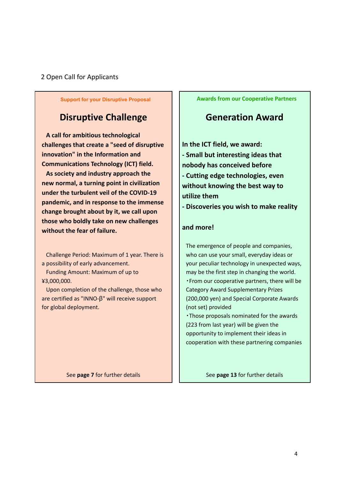### <span id="page-3-0"></span>2 Open Call for Applicants

# **Disruptive Challenge The Generation Award**

**A call for ambitious technological challenges that create a "seed of disruptive innovation" in the Information and Communications Technology (ICT) field. As society and industry approach the new normal, a turning point in civilization under the turbulent veil of the COVID-19 pandemic, and in response to the immense change brought about by it, we call upon those who boldly take on new challenges without the fear of failure.**

Challenge Period: Maximum of 1 year. There is a possibility of early advancement.

Funding Amount: Maximum of up to ¥3,000,000.

Upon completion of the challenge, those who are certified as "INNO-β" will receive support for global deployment.

**Support for your Disruptive Proposal Awards from our Cooperative Partners**

**In the ICT field, we award: - Small but interesting ideas that nobody has conceived before - Cutting edge technologies, even without knowing the best way to utilize them - Discoveries you wish to make reality**

### **and more!**

The emergence of people and companies, who can use your small, everyday ideas or your peculiar technology in unexpected ways, may be the first step in changing the world. ・From our cooperative partners, there will be Category Award Supplementary Prizes (200,000 yen) and Special Corporate Awards (not set) provided

・Those proposals nominated for the awards (223 from last year) will be given the opportunity to implement their ideas in cooperation with these partnering companies

**See page 7** for further details See page 13 for further details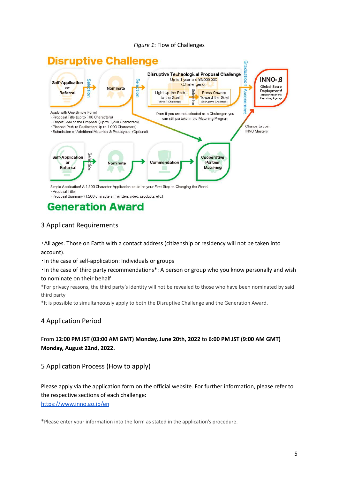#### *Figure 1*: Flow of Challenges



· Proposal Title

· Proposal Summary (1,200 characters if written, video, products, etc.)

# **Generation Award**

### <span id="page-4-0"></span>3 Applicant Requirements

・All ages. Those on Earth with a contact address (citizenship or residency will not be taken into account).

・In the case of self-application: Individuals or groups

・In the case of third party recommendations\*: A person or group who you know personally and wish to nominate on their behalf

\*For privacy reasons, the third party's identity will not be revealed to those who have been nominated by said third party

\*It is possible to simultaneously apply to both the Disruptive Challenge and the Generation Award.

### <span id="page-4-1"></span>4 Application Period

From **12:00 PM JST (03:00 AM GMT) Monday, June 20th, 2022** to **6:00 PM JST (9:00 AM GMT) Monday, August 22nd, 2022.**

<span id="page-4-2"></span>5 Application Process (How to apply)

Please apply via the application form on the official website. For further information, please refer to the respective sections of each challenge: <https://www.inno.go.jp/en>

\*Please enter your information into the form as stated in the application's procedure.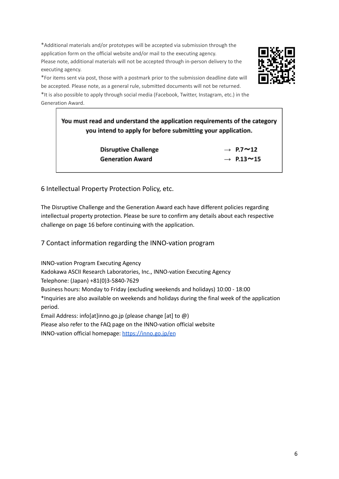\*Additional materials and/or prototypes will be accepted via submission through the application form on the official website and/or mail to the executing agency. Please note, additional materials will not be accepted through in-person delivery to the executing agency.

\*For items sent via post, those with a postmark prior to the submission deadline date will be accepted. Please note, as a general rule, submitted documents will not be returned.

\*It is also possible to apply through social media (Facebook, Twitter, Instagram, etc.) in the

Generation Award.

| You must read and understand the application requirements of the category |
|---------------------------------------------------------------------------|
| you intend to apply for before submitting your application.               |

| <b>Disruptive Challenge</b> | $\rightarrow$ P.7 $\sim$ 12  |
|-----------------------------|------------------------------|
| <b>Generation Award</b>     | $\rightarrow$ P.13 $\sim$ 15 |

<span id="page-5-0"></span>6 Intellectual Property Protection Policy, etc.

The Disruptive Challenge and the Generation Award each have different policies regarding intellectual property protection. Please be sure to confirm any details about each respective challenge on page 16 before continuing with the application.

<span id="page-5-1"></span>7 Contact information regarding the INNO-vation program

INNO-vation Program Executing Agency Kadokawa ASCII Research Laboratories, Inc., INNO-vation Executing Agency Telephone: (Japan) +81(0)3-5840-7629 Business hours: Monday to Friday (excluding weekends and holidays) 10:00 - 18:00 \*Inquiries are also available on weekends and holidays during the final week of the application period. Email Address: info[at]inno.go.jp (please change [at] to @) Please also refer to the FAQ page on the INNO-vation official website INNO-vation official homepage: <https://inno.go.jp/en>

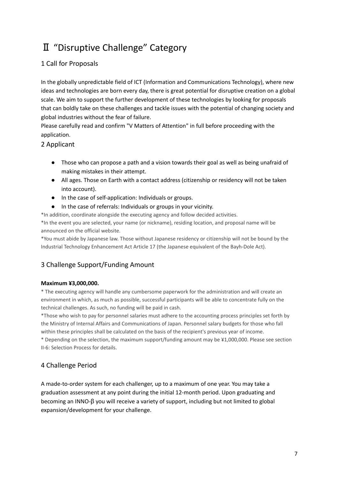# <span id="page-6-0"></span>Ⅱ "Disruptive Challenge" Category

# <span id="page-6-1"></span>1 Call for Proposals

In the globally unpredictable field of ICT (Information and Communications Technology), where new ideas and technologies are born every day, there is great potential for disruptive creation on a global scale. We aim to support the further development of these technologies by looking for proposals that can boldly take on these challenges and tackle issues with the potential of changing society and global industries without the fear of failure.

Please carefully read and confirm "V Matters of Attention" in full before proceeding with the application.

### <span id="page-6-2"></span>2 Applicant

- Those who can propose a path and a vision towards their goal as well as being unafraid of making mistakes in their attempt.
- All ages. Those on Earth with a contact address (citizenship or residency will not be taken into account).
- In the case of self-application: Individuals or groups.
- In the case of referrals: Individuals or groups in your vicinity.

\*In addition, coordinate alongside the executing agency and follow decided activities.

\*In the event you are selected, your name (or nickname), residing location, and proposal name will be announced on the official website.

\*You must abide by Japanese law. Those without Japanese residency or citizenship will not be bound by the Industrial Technology Enhancement Act Article 17 (the Japanese equivalent of the Bayh-Dole Act).

# <span id="page-6-3"></span>3 Challenge Support/Funding Amount

### **Maximum ¥3,000,000.**

\* The executing agency will handle any cumbersome paperwork for the administration and will create an environment in which, as much as possible, successful participants will be able to concentrate fully on the technical challenges. As such, no funding will be paid in cash.

\*Those who wish to pay for personnel salaries must adhere to the accounting process principles set forth by the Ministry of Internal Affairs and Communications of Japan. Personnel salary budgets for those who fall within these principles shall be calculated on the basis of the recipient's previous year of income.

\* Depending on the selection, the maximum support/funding amount may be ¥1,000,000. Please see section II-6: Selection Process for details.

# <span id="page-6-4"></span>4 Challenge Period

A made-to-order system for each challenger, up to a maximum of one year. You may take a graduation assessment at any point during the initial 12-month period. Upon graduating and becoming an INNO-β you will receive a variety of support, including but not limited to global expansion/development for your challenge.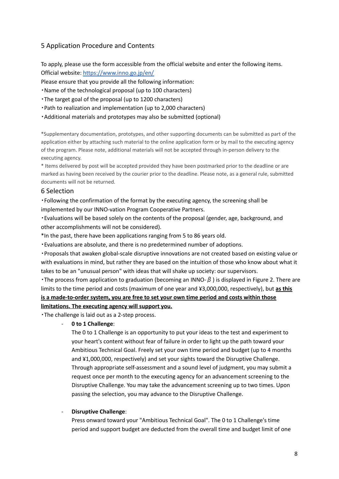### <span id="page-7-0"></span>5 Application Procedure and Contents

To apply, please use the form accessible from the official website and enter the following items.

Official website: <https://www.inno.go.jp/en/>

Please ensure that you provide all the following information:

・Name of the technological proposal (up to 100 characters)

・The target goal of the proposal (up to 1200 characters)

・Path to realization and implementation (up to 2,000 characters)

・Additional materials and prototypes may also be submitted (optional)

\*Supplementary documentation, prototypes, and other supporting documents can be submitted as part of the application either by attaching such material to the online application form or by mail to the executing agency of the program. Please note, additional materials will not be accepted through in-person delivery to the executing agency.

\* Items delivered by post will be accepted provided they have been postmarked prior to the deadline or are marked as having been received by the courier prior to the deadline. Please note, as a general rule, submitted documents will not be returned.

### <span id="page-7-1"></span>6 Selection

・Following the confirmation of the format by the executing agency, the screening shall be implemented by our INNO-vation Program Cooperative Partners.

・Evaluations will be based solely on the contents of the proposal (gender, age, background, and other accomplishments will not be considered).

\*In the past, there have been applications ranging from 5 to 86 years old.

・Evaluations are absolute, and there is no predetermined number of adoptions.

・Proposals that awaken global-scale disruptive innovations are not created based on existing value or with evaluations in mind, but rather they are based on the intuition of those who know about what it takes to be an "unusual person" with ideas that will shake up society: our supervisors.

• The process from application to graduation (becoming an INNO- $\beta$ ) is displayed in Figure 2. There are limits to the time period and costs (maximum of one year and ¥3,000,000, respectively), but **as this is a made-to-order system, you are free to set your own time period and costs within those**

# **limitations. The executing agency will support you.**

・The challenge is laid out as a 2-step process.

### - **0 to 1 Challenge**:

The 0 to 1 Challenge is an opportunity to put your ideas to the test and experiment to your heart's content without fear of failure in order to light up the path toward your Ambitious Technical Goal. Freely set your own time period and budget (up to 4 months and ¥1,000,000, respectively) and set your sights toward the Disruptive Challenge. Through appropriate self-assessment and a sound level of judgment, you may submit a request once per month to the executing agency for an advancement screening to the Disruptive Challenge. You may take the advancement screening up to two times. Upon passing the selection, you may advance to the Disruptive Challenge.

#### - **Disruptive Challenge**:

Press onward toward your "Ambitious Technical Goal". The 0 to 1 Challenge's time period and support budget are deducted from the overall time and budget limit of one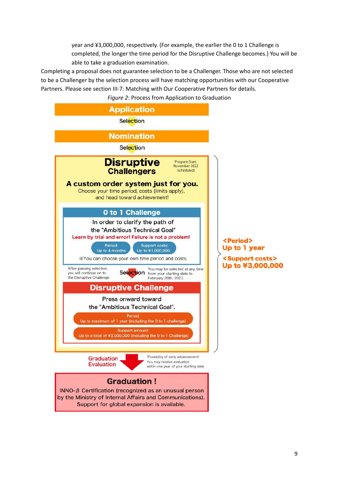year and ¥3,000,000, respectively. (For example, the earlier the 0 to 1 Challenge is completed, the longer the time period for the Disruptive Challenge becomes.) You will be able to take a graduation examination.

Completing a proposal does not guarantee selection to be a Challenger. Those who are not selected to be a Challenger by the selection process will have matching opportunities with our Cooperative Partners. Please see section III-7: Matching with Our Cooperative Partners for details.



*Figure 2*: Process from Application to Graduation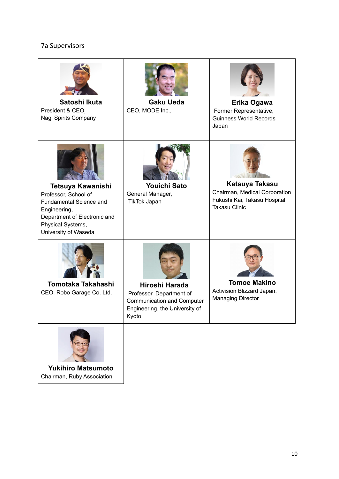# <span id="page-9-0"></span>7a Supervisors

| Satoshi Ikuta<br>President & CEO<br>Nagi Spirits Company                                                                                                                        | <b>Gaku Ueda</b><br>CEO, MODE Inc.,                                                                                        | Erika Ogawa<br>Former Representative,<br><b>Guinness World Records</b><br>Japan                          |
|---------------------------------------------------------------------------------------------------------------------------------------------------------------------------------|----------------------------------------------------------------------------------------------------------------------------|----------------------------------------------------------------------------------------------------------|
| <b>Tetsuya Kawanishi</b><br>Professor, School of<br><b>Fundamental Science and</b><br>Engineering,<br>Department of Electronic and<br>Physical Systems,<br>University of Waseda | <b>Youichi Sato</b><br>General Manager,<br>TikTok Japan                                                                    | Katsuya Takasu<br>Chairman, Medical Corporation<br>Fukushi Kai, Takasu Hospital,<br><b>Takasu Clinic</b> |
| Tomotaka Takahashi<br>CEO, Robo Garage Co. Ltd.                                                                                                                                 | Hiroshi Harada<br>Professor, Department of<br><b>Communication and Computer</b><br>Engineering, the University of<br>Kyoto | <b>Tomoe Makino</b><br>Activision Blizzard Japan,<br><b>Managing Director</b>                            |
| <b>Yukihiro Matsumoto</b><br>Chairman, Ruby Association                                                                                                                         |                                                                                                                            |                                                                                                          |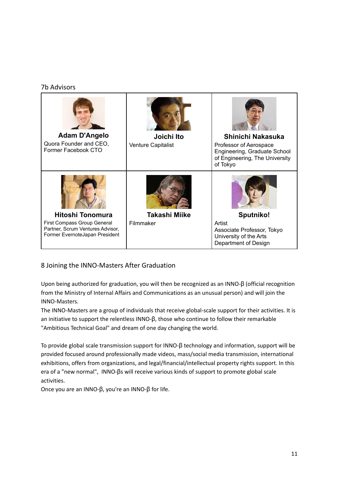### <span id="page-10-0"></span>7b Advisors

| <b>Adam D'Angelo</b>                                                                              | Joichi Ito                | Shinichi Nakasuka                                                                                    |
|---------------------------------------------------------------------------------------------------|---------------------------|------------------------------------------------------------------------------------------------------|
| Quora Founder and CEO,<br>Former Facebook CTO                                                     | <b>Venture Capitalist</b> | Professor of Aerospace<br>Engineering, Graduate School<br>of Engineering, The University<br>of Tokyo |
|                                                                                                   |                           |                                                                                                      |
| Hitoshi Tonomura                                                                                  | Takashi Miike             | Sputniko!                                                                                            |
| First Compass Group General<br>Partner, Scrum Ventures Advisor,<br>Former EvernoteJapan President | Filmmaker                 | Artist<br>Associate Professor, Tokyo<br>University of the Arts<br>Department of Design               |

### <span id="page-10-1"></span>8 Joining the INNO-Masters After Graduation

Upon being authorized for graduation, you will then be recognized as an INNO-β (official recognition from the Ministry of Internal Affairs and Communications as an unusual person) and will join the INNO-Masters.

The INNO-Masters are a group of individuals that receive global-scale support for their activities. It is an initiative to support the relentless INNO-β, those who continue to follow their remarkable "Ambitious Technical Goal" and dream of one day changing the world.

To provide global scale transmission support for INNO-β technology and information, support will be provided focused around professionally made videos, mass/social media transmission, international exhibitions, offers from organizations, and legal/financial/intellectual property rights support. In this era of a "new normal", INNO-βs will receive various kinds of support to promote global scale activities.

Once you are an INNO-β, you're an INNO-β for life.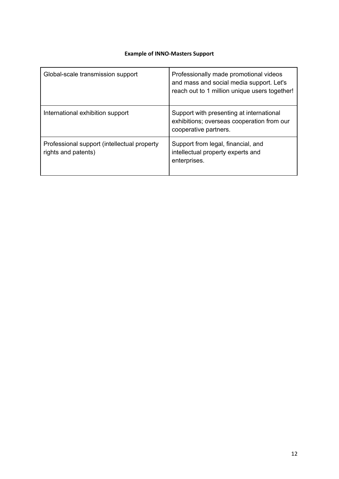### **Example of INNO-Masters Support**

| Global-scale transmission support                                  | Professionally made promotional videos<br>and mass and social media support. Let's<br>reach out to 1 million unique users together! |
|--------------------------------------------------------------------|-------------------------------------------------------------------------------------------------------------------------------------|
| International exhibition support                                   | Support with presenting at international<br>exhibitions; overseas cooperation from our<br>cooperative partners.                     |
| Professional support (intellectual property<br>rights and patents) | Support from legal, financial, and<br>intellectual property experts and<br>enterprises.                                             |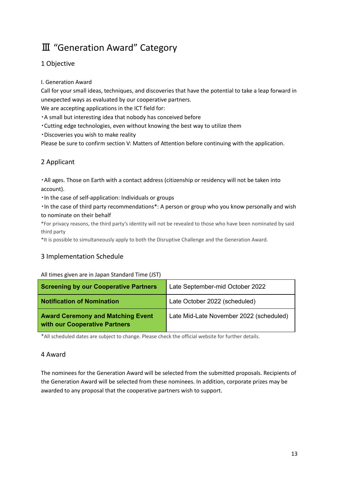# <span id="page-12-0"></span>Ⅲ "Generation Award" Category

# <span id="page-12-1"></span>1 Objective

### I. Generation Award

Call for your small ideas, techniques, and discoveries that have the potential to take a leap forward in unexpected ways as evaluated by our cooperative partners.

We are accepting applications in the ICT field for:

・A small but interesting idea that nobody has conceived before

・Cutting edge technologies, even without knowing the best way to utilize them

・Discoveries you wish to make reality

Please be sure to confirm section V: Matters of Attention before continuing with the application.

# <span id="page-12-2"></span>2 Applicant

・All ages. Those on Earth with a contact address (citizenship or residency will not be taken into account).

・In the case of self-application: Individuals or groups

・In the case of third party recommendations\*: A person or group who you know personally and wish to nominate on their behalf

\*For privacy reasons, the third party's identity will not be revealed to those who have been nominated by said third party

\*It is possible to simultaneously apply to both the Disruptive Challenge and the Generation Award.

# <span id="page-12-3"></span>3 Implementation Schedule

### All times given are in Japan Standard Time (JST)

| <b>Screening by our Cooperative Partners</b>                              | Late September-mid October 2022         |  |
|---------------------------------------------------------------------------|-----------------------------------------|--|
| <b>Notification of Nomination</b>                                         | Late October 2022 (scheduled)           |  |
| <b>Award Ceremony and Matching Event</b><br>with our Cooperative Partners | Late Mid-Late November 2022 (scheduled) |  |

\*All scheduled dates are subject to change. Please check the official website for further details.

### <span id="page-12-4"></span>4 Award

The nominees for the Generation Award will be selected from the submitted proposals. Recipients of the Generation Award will be selected from these nominees. In addition, corporate prizes may be awarded to any proposal that the cooperative partners wish to support.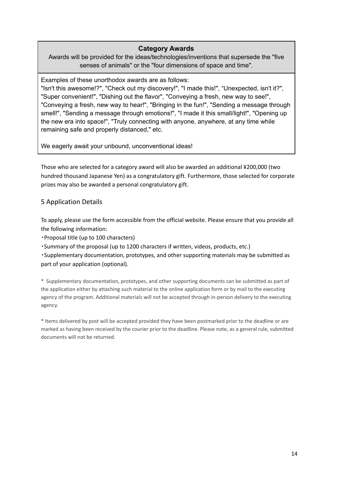### **Category Awards**

Awards will be provided for the ideas/technologies/inventions that supersede the "five senses of animals" or the "four dimensions of space and time".

Examples of these unorthodox awards are as follows:

"Isn't this awesome!?", "Check out my discovery!", "I made this!", "Unexpected, isn't it?", "Super convenient!", "Dishing out the flavor", "Conveying a fresh, new way to see!", "Conveying a fresh, new way to hear!", "Bringing in the fun!", "Sending a message through smell!", "Sending a message through emotions!", "I made it this small/light!", "Opening up the new era into space!", "Truly connecting with anyone, anywhere, at any time while remaining safe and properly distanced," etc.

We eagerly await your unbound, unconventional ideas!

Those who are selected for a category award will also be awarded an additional ¥200,000 (two hundred thousand Japanese Yen) as a congratulatory gift. Furthermore, those selected for corporate prizes may also be awarded a personal congratulatory gift.

### <span id="page-13-0"></span>5 Application Details

To apply, please use the form accessible from the official website. Please ensure that you provide all the following information:

・Proposal title (up to 100 characters)

・Summary of the proposal (up to 1200 characters if written, videos, products, etc.)

・Supplementary documentation, prototypes, and other supporting materials may be submitted as part of your application (optional).

\* Supplementary documentation, prototypes, and other supporting documents can be submitted as part of the application either by attaching such material to the online application form or by mail to the executing agency of the program. Additional materials will not be accepted through in-person delivery to the executing agency.

\* Items delivered by post will be accepted provided they have been postmarked prior to the deadline or are marked as having been received by the courier prior to the deadline. Please note, as a general rule, submitted documents will not be returned.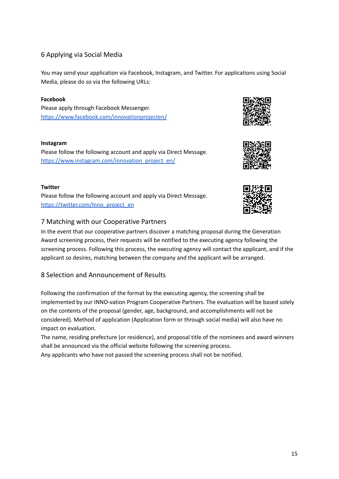### <span id="page-14-0"></span>6 Applying via Social Media

You may send your application via Facebook, Instagram, and Twitter. For applications using Social Media, please do so via the following URLs:

### **Facebook** Please apply through Facebook Messenger. <https://www.facebook.com/innovationprojecten/>

#### **Instagram**

Please follow the following account and apply via Direct Message. [https://www.instagram.com/innovation\\_project\\_en/](https://www.instagram.com/innovation_project_en/)

#### **Twitter**

Please follow the following account and apply via Direct Message. [https://twitter.com/Inno\\_project\\_en](https://twitter.com/Inno_project_en)

### <span id="page-14-1"></span>7 Matching with our Cooperative Partners

In the event that our cooperative partners discover a matching proposal during the Generation Award screening process, their requests will be notified to the executing agency following the screening process. Following this process, the executing agency will contact the applicant, and if the applicant so desires, matching between the company and the applicant will be arranged.

### <span id="page-14-2"></span>8 Selection and Announcement of Results

Following the confirmation of the format by the executing agency, the screening shall be implemented by our INNO-vation Program Cooperative Partners. The evaluation will be based solely on the contents of the proposal (gender, age, background, and accomplishments will not be considered). Method of application (Application form or through social media) will also have no impact on evaluation.

The name, residing prefecture (or residence), and proposal title of the nominees and award winners shall be announced via the official website following the screening process.

Any applicants who have not passed the screening process shall not be notified.





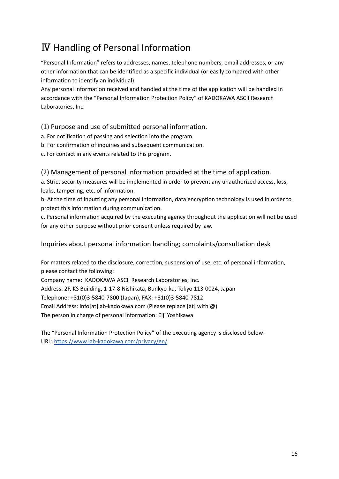# <span id="page-15-0"></span>Ⅳ Handling of Personal Information

"Personal Information" refers to addresses, names, telephone numbers, email addresses, or any other information that can be identified as a specific individual (or easily compared with other information to identify an individual).

Any personal information received and handled at the time of the application will be handled in accordance with the "Personal Information Protection Policy" of KADOKAWA ASCII Research Laboratories, Inc.

# <span id="page-15-1"></span>(1) Purpose and use of submitted personal information.

a. For notification of passing and selection into the program.

b. For confirmation of inquiries and subsequent communication.

c. For contact in any events related to this program.

<span id="page-15-2"></span>(2) Management of personal information provided at the time of application.

a. Strict security measures will be implemented in order to prevent any unauthorized access, loss, leaks, tampering, etc. of information.

b. At the time of inputting any personal information, data encryption technology is used in order to protect this information during communication.

c. Personal information acquired by the executing agency throughout the application will not be used for any other purpose without prior consent unless required by law.

# <span id="page-15-3"></span>Inquiries about personal information handling; complaints/consultation desk

For matters related to the disclosure, correction, suspension of use, etc. of personal information, please contact the following:

Company name: KADOKAWA ASCII Research Laboratories, Inc.

Address: 2F, KS Building, 1-17-8 Nishikata, Bunkyo-ku, Tokyo 113-0024, Japan

Telephone: +81(0)3-5840-7800 (Japan), FAX: +81(0)3-5840-7812

Email Address: info[at]lab-kadokawa.com (Please replace [at] with @)

The person in charge of personal information: Eiji Yoshikawa

The "Personal Information Protection Policy" of the executing agency is disclosed below: URL: <https://www.lab-kadokawa.com/privacy/en/>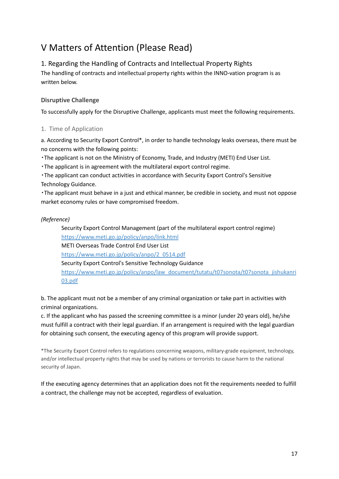# <span id="page-16-0"></span>V Matters of Attention (Please Read)

# <span id="page-16-1"></span>1. Regarding the Handling of Contracts and Intellectual Property Rights

The handling of contracts and intellectual property rights within the INNO-vation program is as written below.

### <span id="page-16-2"></span>**Disruptive Challenge**

To successfully apply for the Disruptive Challenge, applicants must meet the following requirements.

### 1. Time of Application

a. According to Security Export Control\*, in order to handle technology leaks overseas, there must be no concerns with the following points:

・The applicant is not on the Ministry of Economy, Trade, and Industry (METI) End User List.

・The applicant is in agreement with the multilateral export control regime.

・The applicant can conduct activities in accordance with Security Export Control's Sensitive Technology Guidance.

・The applicant must behave in a just and ethical manner, be credible in society, and must not oppose market economy rules or have compromised freedom.

### *(Reference)*

Security Export Control Management (part of the multilateral export control regime) <https://www.meti.go.jp/policy/anpo/link.html> METI Overseas Trade Control End User List [https://www.meti.go.jp/policy/anpo/2\\_0514.pdf](https://www.meti.go.jp/policy/anpo/2_0514.pdf) Security Export Control's Sensitive Technology Guidance [https://www.meti.go.jp/policy/anpo/law\\_document/tutatu/t07sonota/t07sonota\\_jishukanri](https://www.meti.go.jp/policy/anpo/law_document/tutatu/t07sonota/t07sonota_jishukanri03.pdf) [03.pdf](https://www.meti.go.jp/policy/anpo/law_document/tutatu/t07sonota/t07sonota_jishukanri03.pdf)

b. The applicant must not be a member of any criminal organization or take part in activities with criminal organizations.

c. If the applicant who has passed the screening committee is a minor (under 20 years old), he/she must fulfill a contract with their legal guardian. If an arrangement is required with the legal guardian for obtaining such consent, the executing agency of this program will provide support.

\*The Security Export Control refers to regulations concerning weapons, military-grade equipment, technology, and/or intellectual property rights that may be used by nations or terrorists to cause harm to the national security of Japan.

If the executing agency determines that an application does not fit the requirements needed to fulfill a contract, the challenge may not be accepted, regardless of evaluation.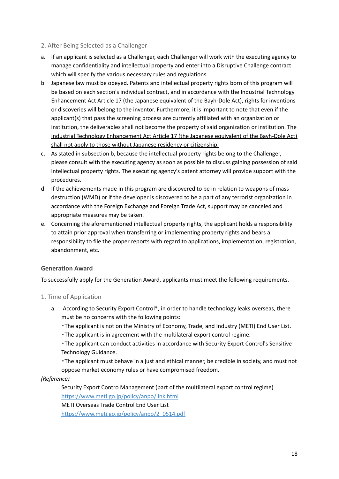### 2. After Being Selected as a Challenger

- a. If an applicant is selected as a Challenger, each Challenger will work with the executing agency to manage confidentiality and intellectual property and enter into a Disruptive Challenge contract which will specify the various necessary rules and regulations.
- b. Japanese law must be obeyed. Patents and intellectual property rights born of this program will be based on each section's individual contract, and in accordance with the Industrial Technology Enhancement Act Article 17 (the Japanese equivalent of the Bayh-Dole Act), rights for inventions or discoveries will belong to the inventor. Furthermore, it is important to note that even if the applicant(s) that pass the screening process are currently affiliated with an organization or institution, the deliverables shall not become the property of said organization or institution. The Industrial Technology Enhancement Act Article 17 (the Japanese equivalent of the Bayh-Dole Act) shall not apply to those without Japanese residency or citizenship.
- c. As stated in subsection b, because the intellectual property rights belong to the Challenger, please consult with the executing agency as soon as possible to discuss gaining possession of said intellectual property rights. The executing agency's patent attorney will provide support with the procedures.
- d. If the achievements made in this program are discovered to be in relation to weapons of mass destruction (WMD) or if the developer is discovered to be a part of any terrorist organization in accordance with the Foreign Exchange and Foreign Trade Act, support may be canceled and appropriate measures may be taken.
- e. Concerning the aforementioned intellectual property rights, the applicant holds a responsibility to attain prior approval when transferring or implementing property rights and bears a responsibility to file the proper reports with regard to applications, implementation, registration, abandonment, etc.

### <span id="page-17-0"></span>**Generation Award**

To successfully apply for the Generation Award, applicants must meet the following requirements.

### 1. Time of Application

- a. According to Security Export Control\*, in order to handle technology leaks overseas, there must be no concerns with the following points:
	- ・The applicant is not on the Ministry of Economy, Trade, and Industry (METI) End User List.
	- ・The applicant is in agreement with the multilateral export control regime.

・The applicant can conduct activities in accordance with Security Export Control's Sensitive Technology Guidance.

・The applicant must behave in a just and ethical manner, be credible in society, and must not oppose market economy rules or have compromised freedom.

### *(Reference)*

Security Export Contro Management (part of the multilateral export control regime) <https://www.meti.go.jp/policy/anpo/link.html>

METI Overseas Trade Control End User List

[https://www.meti.go.jp/policy/anpo/2\\_0514.pdf](https://www.meti.go.jp/policy/anpo/2_0514.pdf)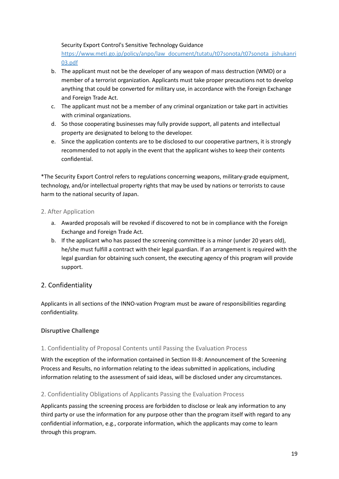#### Security Export Control's Sensitive Technology Guidance

[https://www.meti.go.jp/policy/anpo/law\\_document/tutatu/t07sonota/t07sonota\\_jishukanri](https://www.meti.go.jp/policy/anpo/law_document/tutatu/t07sonota/t07sonota_jishukanri03.pdf) [03.pdf](https://www.meti.go.jp/policy/anpo/law_document/tutatu/t07sonota/t07sonota_jishukanri03.pdf)

- b. The applicant must not be the developer of any weapon of mass destruction (WMD) or a member of a terrorist organization. Applicants must take proper precautions not to develop anything that could be converted for military use, in accordance with the Foreign Exchange and Foreign Trade Act.
- c. The applicant must not be a member of any criminal organization or take part in activities with criminal organizations.
- d. So those cooperating businesses may fully provide support, all patents and intellectual property are designated to belong to the developer.
- e. Since the application contents are to be disclosed to our cooperative partners, it is strongly recommended to not apply in the event that the applicant wishes to keep their contents confidential.

\*The Security Export Control refers to regulations concerning weapons, military-grade equipment, technology, and/or intellectual property rights that may be used by nations or terrorists to cause harm to the national security of Japan.

### 2. After Application

- a. Awarded proposals will be revoked if discovered to not be in compliance with the Foreign Exchange and Foreign Trade Act.
- b. If the applicant who has passed the screening committee is a minor (under 20 years old), he/she must fulfill a contract with their legal guardian. If an arrangement is required with the legal guardian for obtaining such consent, the executing agency of this program will provide support.

# <span id="page-18-0"></span>2. Confidentiality

Applicants in all sections of the INNO-vation Program must be aware of responsibilities regarding confidentiality.

### <span id="page-18-1"></span>**Disruptive Challenge**

### 1. Confidentiality of Proposal Contents until Passing the Evaluation Process

With the exception of the information contained in Section III-8: Announcement of the Screening Process and Results, no information relating to the ideas submitted in applications, including information relating to the assessment of said ideas, will be disclosed under any circumstances.

### 2. Confidentiality Obligations of Applicants Passing the Evaluation Process

Applicants passing the screening process are forbidden to disclose or leak any information to any third party or use the information for any purpose other than the program itself with regard to any confidential information, e.g., corporate information, which the applicants may come to learn through this program.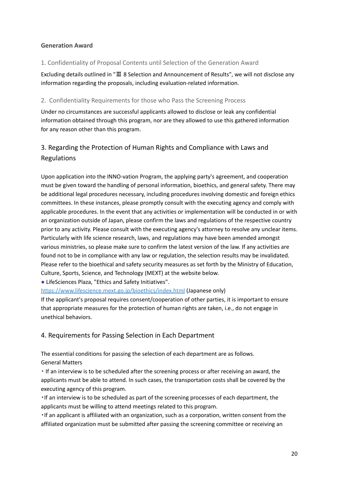### <span id="page-19-0"></span>**Generation Award**

### 1. Confidentiality of Proposal Contents until Selection of the Generation Award

Excluding details outlined in "Ⅲ 8 Selection and Announcement of Results", we will not disclose any information regarding the proposals, including evaluation-related information.

### 2. Confidentiality Requirements for those who Pass the Screening Process

Under no circumstances are successful applicants allowed to disclose or leak any confidential information obtained through this program, nor are they allowed to use this gathered information for any reason other than this program.

# <span id="page-19-1"></span>3. Regarding the Protection of Human Rights and Compliance with Laws and Regulations

Upon application into the INNO-vation Program, the applying party's agreement, and cooperation must be given toward the handling of personal information, bioethics, and general safety. There may be additional legal procedures necessary, including procedures involving domestic and foreign ethics committees. In these instances, please promptly consult with the executing agency and comply with applicable procedures. In the event that any activities or implementation will be conducted in or with an organization outside of Japan, please confirm the laws and regulations of the respective country prior to any activity. Please consult with the executing agency's attorney to resolve any unclear items. Particularly with life science research, laws, and regulations may have been amended amongst various ministries, so please make sure to confirm the latest version of the law. If any activities are found not to be in compliance with any law or regulation, the selection results may be invalidated. Please refer to the bioethical and safety security measures as set forth by the Ministry of Education, Culture, Sports, Science, and Technology (MEXT) at the website below.

● LifeSciences Plaza, "Ethics and Safety Initiatives".

<https://www.lifescience.mext.go.jp/bioethics/index.html> (Japanese only)

If the applicant's proposal requires consent/cooperation of other parties, it is important to ensure that appropriate measures for the protection of human rights are taken, i.e., do not engage in unethical behaviors.

# <span id="page-19-2"></span>4. Requirements for Passing Selection in Each Department

The essential conditions for passing the selection of each department are as follows.

### General Matters

・ If an interview is to be scheduled after the screening process or after receiving an award, the applicants must be able to attend. In such cases, the transportation costs shall be covered by the executing agency of this program.

・If an interview is to be scheduled as part of the screening processes of each department, the applicants must be willing to attend meetings related to this program.

・If an applicant is affiliated with an organization, such as a corporation, written consent from the affiliated organization must be submitted after passing the screening committee or receiving an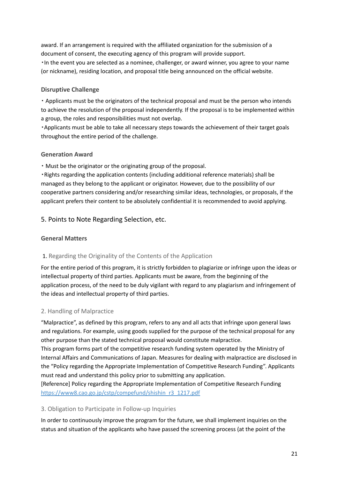award. If an arrangement is required with the affiliated organization for the submission of a document of consent, the executing agency of this program will provide support. ・In the event you are selected as a nominee, challenger, or award winner, you agree to your name (or nickname), residing location, and proposal title being announced on the official website.

### **Disruptive Challenge**

・ Applicants must be the originators of the technical proposal and must be the person who intends to achieve the resolution of the proposal independently. If the proposal is to be implemented within a group, the roles and responsibilities must not overlap.

・Applicants must be able to take all necessary steps towards the achievement of their target goals throughout the entire period of the challenge.

### **Generation Award**

・ Must be the originator or the originating group of the proposal.

・Rights regarding the application contents (including additional reference materials) shall be managed as they belong to the applicant or originator. However, due to the possibility of our cooperative partners considering and/or researching similar ideas, technologies, or proposals, if the applicant prefers their content to be absolutely confidential it is recommended to avoid applying.

### <span id="page-20-0"></span>5. Points to Note Regarding Selection, etc.

### **General Matters**

### 1. Regarding the Originality of the Contents of the Application

For the entire period of this program, it is strictly forbidden to plagiarize or infringe upon the ideas or intellectual property of third parties. Applicants must be aware, from the beginning of the application process, of the need to be duly vigilant with regard to any plagiarism and infringement of the ideas and intellectual property of third parties.

### 2. Handling of Malpractice

"Malpractice", as defined by this program, refers to any and all acts that infringe upon general laws and regulations. For example, using goods supplied for the purpose of the technical proposal for any other purpose than the stated technical proposal would constitute malpractice.

This program forms part of the competitive research funding system operated by the Ministry of Internal Affairs and Communications of Japan. Measures for dealing with malpractice are disclosed in the "Policy regarding the Appropriate Implementation of Competitive Research Funding". Applicants must read and understand this policy prior to submitting any application.

[Reference] Policy regarding the Appropriate Implementation of Competitive Research Funding [https://www8.cao.go.jp/cstp/compefund/shishin\\_r3\\_1217.pdf](https://www8.cao.go.jp/cstp/compefund/shishin_r3_1217.pdf)

### 3. Obligation to Participate in Follow-up Inquiries

In order to continuously improve the program for the future, we shall implement inquiries on the status and situation of the applicants who have passed the screening process (at the point of the